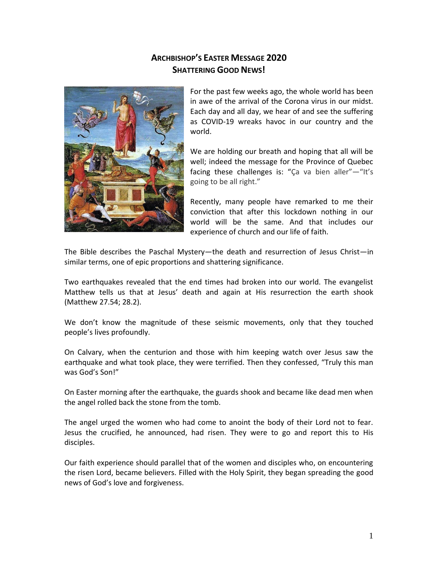## **ARCHBISHOP'S EASTER MESSAGE 2020 SHATTERING GOOD NEWS!**



For the past few weeks ago, the whole world has been in awe of the arrival of the Corona virus in our midst. Each day and all day, we hear of and see the suffering as COVID-19 wreaks havoc in our country and the world.

We are holding our breath and hoping that all will be well; indeed the message for the Province of Quebec facing these challenges is: "Ca va bien aller"-"It's going to be all right."

Recently, many people have remarked to me their conviction that after this lockdown nothing in our world will be the same. And that includes our experience of church and our life of faith.

The Bible describes the Paschal Mystery—the death and resurrection of Jesus Christ—in similar terms, one of epic proportions and shattering significance.

Two earthquakes revealed that the end times had broken into our world. The evangelist Matthew tells us that at Jesus' death and again at His resurrection the earth shook (Matthew 27.54; 28.2).

We don't know the magnitude of these seismic movements, only that they touched people's lives profoundly.

On Calvary, when the centurion and those with him keeping watch over Jesus saw the earthquake and what took place, they were terrified. Then they confessed, "Truly this man was God's Son!"

On Easter morning after the earthquake, the guards shook and became like dead men when the angel rolled back the stone from the tomb.

The angel urged the women who had come to anoint the body of their Lord not to fear. Jesus the crucified, he announced, had risen. They were to go and report this to His disciples.

Our faith experience should parallel that of the women and disciples who, on encountering the risen Lord, became believers. Filled with the Holy Spirit, they began spreading the good news of God's love and forgiveness.